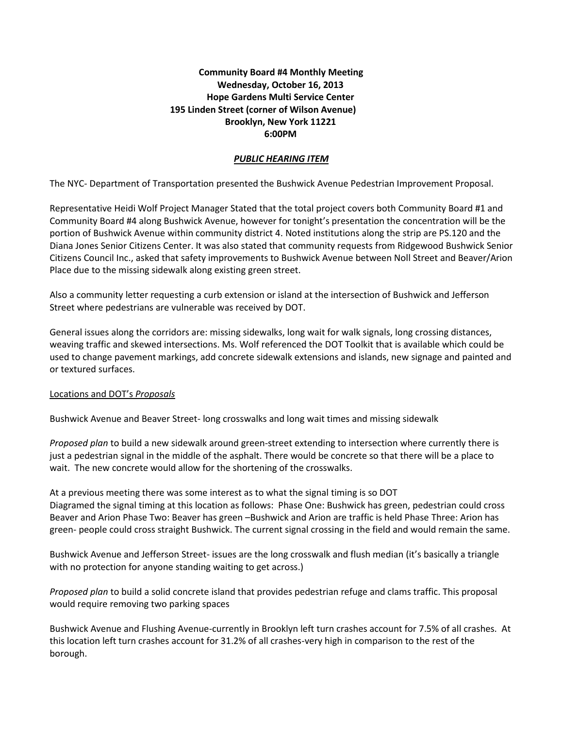# **Community Board #4 Monthly Meeting Wednesday, October 16, 2013 Hope Gardens Multi Service Center 195 Linden Street (corner of Wilson Avenue) Brooklyn, New York 11221 6:00PM**

## *PUBLIC HEARING ITEM*

The NYC- Department of Transportation presented the Bushwick Avenue Pedestrian Improvement Proposal.

Representative Heidi Wolf Project Manager Stated that the total project covers both Community Board #1 and Community Board #4 along Bushwick Avenue, however for tonight's presentation the concentration will be the portion of Bushwick Avenue within community district 4. Noted institutions along the strip are PS.120 and the Diana Jones Senior Citizens Center. It was also stated that community requests from Ridgewood Bushwick Senior Citizens Council Inc., asked that safety improvements to Bushwick Avenue between Noll Street and Beaver/Arion Place due to the missing sidewalk along existing green street.

Also a community letter requesting a curb extension or island at the intersection of Bushwick and Jefferson Street where pedestrians are vulnerable was received by DOT.

General issues along the corridors are: missing sidewalks, long wait for walk signals, long crossing distances, weaving traffic and skewed intersections. Ms. Wolf referenced the DOT Toolkit that is available which could be used to change pavement markings, add concrete sidewalk extensions and islands, new signage and painted and or textured surfaces.

#### Locations and DOT's *Proposals*

Bushwick Avenue and Beaver Street- long crosswalks and long wait times and missing sidewalk

*Proposed plan* to build a new sidewalk around green-street extending to intersection where currently there is just a pedestrian signal in the middle of the asphalt. There would be concrete so that there will be a place to wait. The new concrete would allow for the shortening of the crosswalks.

At a previous meeting there was some interest as to what the signal timing is so DOT Diagramed the signal timing at this location as follows: Phase One: Bushwick has green, pedestrian could cross Beaver and Arion Phase Two: Beaver has green –Bushwick and Arion are traffic is held Phase Three: Arion has green- people could cross straight Bushwick. The current signal crossing in the field and would remain the same.

Bushwick Avenue and Jefferson Street- issues are the long crosswalk and flush median (it's basically a triangle with no protection for anyone standing waiting to get across.)

*Proposed plan* to build a solid concrete island that provides pedestrian refuge and clams traffic. This proposal would require removing two parking spaces

Bushwick Avenue and Flushing Avenue-currently in Brooklyn left turn crashes account for 7.5% of all crashes. At this location left turn crashes account for 31.2% of all crashes-very high in comparison to the rest of the borough.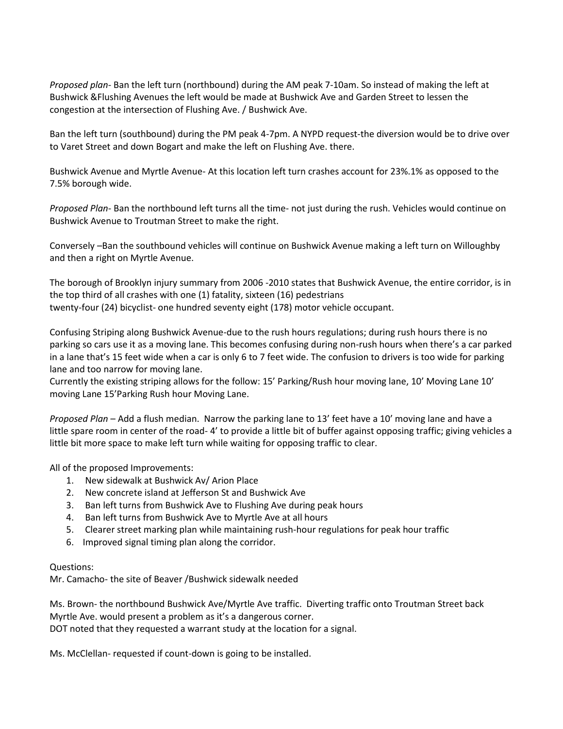*Proposed plan-* Ban the left turn (northbound) during the AM peak 7-10am. So instead of making the left at Bushwick &Flushing Avenues the left would be made at Bushwick Ave and Garden Street to lessen the congestion at the intersection of Flushing Ave. / Bushwick Ave.

Ban the left turn (southbound) during the PM peak 4-7pm. A NYPD request-the diversion would be to drive over to Varet Street and down Bogart and make the left on Flushing Ave. there.

Bushwick Avenue and Myrtle Avenue- At this location left turn crashes account for 23%.1% as opposed to the 7.5% borough wide.

*Proposed Plan-* Ban the northbound left turns all the time- not just during the rush. Vehicles would continue on Bushwick Avenue to Troutman Street to make the right.

Conversely –Ban the southbound vehicles will continue on Bushwick Avenue making a left turn on Willoughby and then a right on Myrtle Avenue.

The borough of Brooklyn injury summary from 2006 -2010 states that Bushwick Avenue, the entire corridor, is in the top third of all crashes with one (1) fatality, sixteen (16) pedestrians twenty-four (24) bicyclist- one hundred seventy eight (178) motor vehicle occupant.

Confusing Striping along Bushwick Avenue-due to the rush hours regulations; during rush hours there is no parking so cars use it as a moving lane. This becomes confusing during non-rush hours when there's a car parked in a lane that's 15 feet wide when a car is only 6 to 7 feet wide. The confusion to drivers is too wide for parking lane and too narrow for moving lane.

Currently the existing striping allows for the follow: 15' Parking/Rush hour moving lane, 10' Moving Lane 10' moving Lane 15'Parking Rush hour Moving Lane.

*Proposed Plan* – Add a flush median. Narrow the parking lane to 13' feet have a 10' moving lane and have a little spare room in center of the road- 4' to provide a little bit of buffer against opposing traffic; giving vehicles a little bit more space to make left turn while waiting for opposing traffic to clear.

All of the proposed Improvements:

- 1. New sidewalk at Bushwick Av/ Arion Place
- 2. New concrete island at Jefferson St and Bushwick Ave
- 3. Ban left turns from Bushwick Ave to Flushing Ave during peak hours
- 4. Ban left turns from Bushwick Ave to Myrtle Ave at all hours
- 5. Clearer street marking plan while maintaining rush-hour regulations for peak hour traffic
- 6. Improved signal timing plan along the corridor.

### Questions:

Mr. Camacho- the site of Beaver /Bushwick sidewalk needed

Ms. Brown- the northbound Bushwick Ave/Myrtle Ave traffic. Diverting traffic onto Troutman Street back Myrtle Ave. would present a problem as it's a dangerous corner. DOT noted that they requested a warrant study at the location for a signal.

Ms. McClellan- requested if count-down is going to be installed.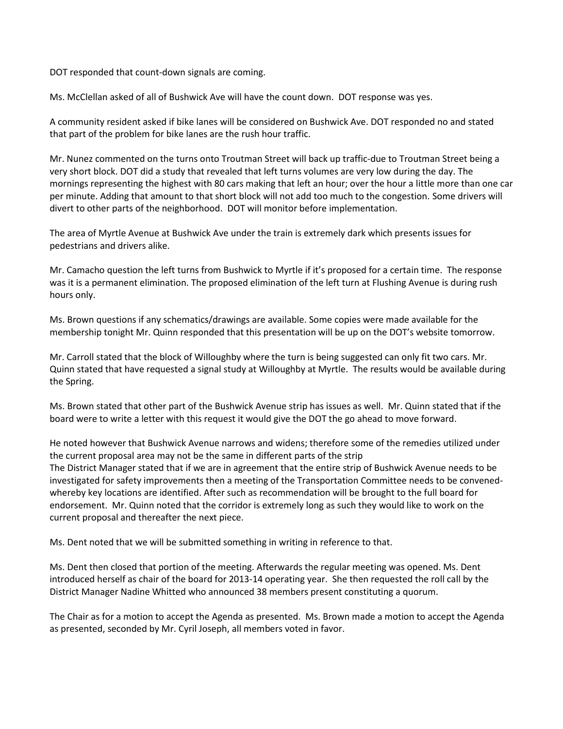DOT responded that count-down signals are coming.

Ms. McClellan asked of all of Bushwick Ave will have the count down. DOT response was yes.

A community resident asked if bike lanes will be considered on Bushwick Ave. DOT responded no and stated that part of the problem for bike lanes are the rush hour traffic.

Mr. Nunez commented on the turns onto Troutman Street will back up traffic-due to Troutman Street being a very short block. DOT did a study that revealed that left turns volumes are very low during the day. The mornings representing the highest with 80 cars making that left an hour; over the hour a little more than one car per minute. Adding that amount to that short block will not add too much to the congestion. Some drivers will divert to other parts of the neighborhood. DOT will monitor before implementation.

The area of Myrtle Avenue at Bushwick Ave under the train is extremely dark which presents issues for pedestrians and drivers alike.

Mr. Camacho question the left turns from Bushwick to Myrtle if it's proposed for a certain time. The response was it is a permanent elimination. The proposed elimination of the left turn at Flushing Avenue is during rush hours only.

Ms. Brown questions if any schematics/drawings are available. Some copies were made available for the membership tonight Mr. Quinn responded that this presentation will be up on the DOT's website tomorrow.

Mr. Carroll stated that the block of Willoughby where the turn is being suggested can only fit two cars. Mr. Quinn stated that have requested a signal study at Willoughby at Myrtle. The results would be available during the Spring.

Ms. Brown stated that other part of the Bushwick Avenue strip has issues as well. Mr. Quinn stated that if the board were to write a letter with this request it would give the DOT the go ahead to move forward.

He noted however that Bushwick Avenue narrows and widens; therefore some of the remedies utilized under the current proposal area may not be the same in different parts of the strip The District Manager stated that if we are in agreement that the entire strip of Bushwick Avenue needs to be investigated for safety improvements then a meeting of the Transportation Committee needs to be convenedwhereby key locations are identified. After such as recommendation will be brought to the full board for endorsement. Mr. Quinn noted that the corridor is extremely long as such they would like to work on the current proposal and thereafter the next piece.

Ms. Dent noted that we will be submitted something in writing in reference to that.

Ms. Dent then closed that portion of the meeting. Afterwards the regular meeting was opened. Ms. Dent introduced herself as chair of the board for 2013-14 operating year. She then requested the roll call by the District Manager Nadine Whitted who announced 38 members present constituting a quorum.

The Chair as for a motion to accept the Agenda as presented. Ms. Brown made a motion to accept the Agenda as presented, seconded by Mr. Cyril Joseph, all members voted in favor.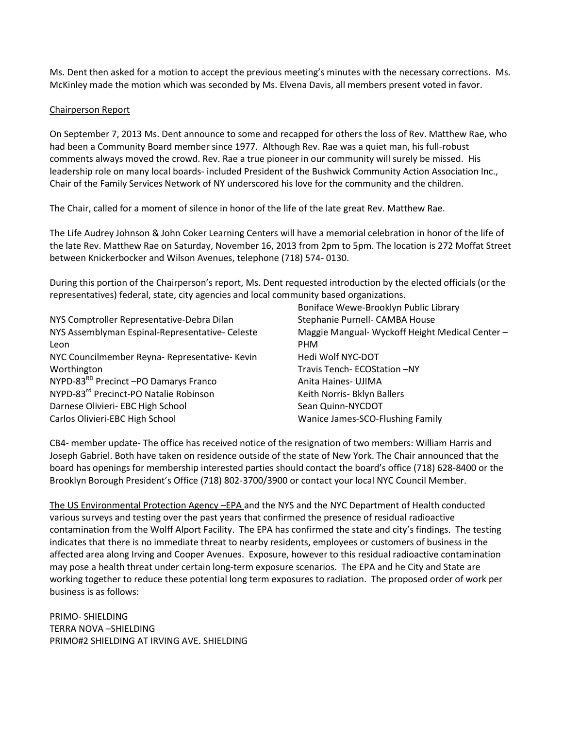Ms. Dent then asked for a motion to accept the previous meeting's minutes with the necessary corrections. Ms. McKinley made the motion which was seconded by Ms. Elvena Davis, all members present voted in favor.

### Chairperson Report

On September 7, 2013 Ms. Dent announce to some and recapped for others the loss of Rev. Matthew Rae, who had been a Community Board member since 1977. Although Rev. Rae was a quiet man, his full-robust comments always moved the crowd. Rev. Rae a true pioneer in our community will surely be missed. His leadership role on many local boards- included President of the Bushwick Community Action Association Inc., Chair of the Family Services Network of NY underscored his love for the community and the children.

The Chair, called for a moment of silence in honor of the life of the late great Rev. Matthew Rae.

The Life Audrey Johnson & John Coker Learning Centers will have a memorial celebration in honor of the life of the late Rev. Matthew Rae on Saturday, November 16, 2013 from 2pm to 5pm. The location is 272 Moffat Street between Knickerbocker and Wilson Avenues, telephone (718) 574- 0130.

During this portion of the Chairperson's report, Ms. Dent requested introduction by the elected officials (or the representatives) federal, state, city agencies and local community based organizations.

|                                                    | Boniface Wewe-Brooklyn Public Library           |
|----------------------------------------------------|-------------------------------------------------|
| NYS Comptroller Representative-Debra Dilan         | Stephanie Purnell- CAMBA House                  |
| NYS Assemblyman Espinal-Representative- Celeste    | Maggie Mangual- Wyckoff Height Medical Center - |
| Leon                                               | <b>PHM</b>                                      |
| NYC Councilmember Reyna- Representative- Kevin     | Hedi Wolf NYC-DOT                               |
| Worthington                                        | Travis Tench- ECOStation -NY                    |
| NYPD-83 <sup>RD</sup> Precinct -PO Damarys Franco  | Anita Haines- UJIMA                             |
| NYPD-83 <sup>rd</sup> Precinct-PO Natalie Robinson | Keith Norris- Bklyn Ballers                     |
| Darnese Olivieri- EBC High School                  | Sean Quinn-NYCDOT                               |
| Carlos Olivieri-EBC High School                    | Wanice James-SCO-Flushing Family                |

CB4- member update- The office has received notice of the resignation of two members: William Harris and Joseph Gabriel. Both have taken on residence outside of the state of New York. The Chair announced that the board has openings for membership interested parties should contact the board's office (718) 628-8400 or the Brooklyn Borough President's Office (718) 802-3700/3900 or contact your local NYC Council Member.

The US Environmental Protection Agency –EPA and the NYS and the NYC Department of Health conducted various surveys and testing over the past years that confirmed the presence of residual radioactive contamination from the Wolff Alport Facility. The EPA has confirmed the state and city's findings. The testing indicates that there is no immediate threat to nearby residents, employees or customers of business in the affected area along Irving and Cooper Avenues. Exposure, however to this residual radioactive contamination may pose a health threat under certain long-term exposure scenarios. The EPA and he City and State are working together to reduce these potential long term exposures to radiation. The proposed order of work per business is as follows:

PRIMO- SHIELDING TERRA NOVA –SHIELDING PRIMO#2 SHIELDING AT IRVING AVE. SHIELDING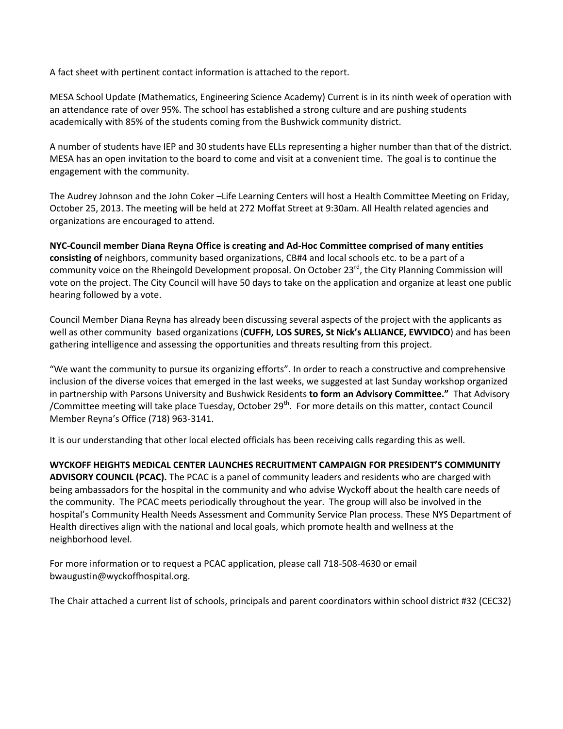A fact sheet with pertinent contact information is attached to the report.

MESA School Update (Mathematics, Engineering Science Academy) Current is in its ninth week of operation with an attendance rate of over 95%. The school has established a strong culture and are pushing students academically with 85% of the students coming from the Bushwick community district.

A number of students have IEP and 30 students have ELLs representing a higher number than that of the district. MESA has an open invitation to the board to come and visit at a convenient time. The goal is to continue the engagement with the community.

The Audrey Johnson and the John Coker –Life Learning Centers will host a Health Committee Meeting on Friday, October 25, 2013. The meeting will be held at 272 Moffat Street at 9:30am. All Health related agencies and organizations are encouraged to attend.

**NYC-Council member Diana Reyna Office is creating and Ad-Hoc Committee comprised of many entities consisting of** neighbors, community based organizations, CB#4 and local schools etc. to be a part of a community voice on the Rheingold Development proposal. On October 23<sup>rd</sup>, the City Planning Commission will vote on the project. The City Council will have 50 days to take on the application and organize at least one public hearing followed by a vote.

Council Member Diana Reyna has already been discussing several aspects of the project with the applicants as well as other community based organizations (**CUFFH, LOS SURES, St Nick's ALLIANCE, EWVIDCO**) and has been gathering intelligence and assessing the opportunities and threats resulting from this project.

"We want the community to pursue its organizing efforts". In order to reach a constructive and comprehensive inclusion of the diverse voices that emerged in the last weeks, we suggested at last Sunday workshop organized in partnership with Parsons University and Bushwick Residents **to form an Advisory Committee."** That Advisory /Committee meeting will take place Tuesday, October  $29^{th}$ . For more details on this matter, contact Council Member Reyna's Office (718) 963-3141.

It is our understanding that other local elected officials has been receiving calls regarding this as well.

**WYCKOFF HEIGHTS MEDICAL CENTER LAUNCHES RECRUITMENT CAMPAIGN FOR PRESIDENT'S COMMUNITY ADVISORY COUNCIL (PCAC).** The PCAC is a panel of community leaders and residents who are charged with being ambassadors for the hospital in the community and who advise Wyckoff about the health care needs of the community. The PCAC meets periodically throughout the year. The group will also be involved in the hospital's Community Health Needs Assessment and Community Service Plan process. These NYS Department of Health directives align with the national and local goals, which promote health and wellness at the neighborhood level.

For more information or to request a PCAC application, please call 718-508-4630 or email bwaugustin@wyckoffhospital.org.

The Chair attached a current list of schools, principals and parent coordinators within school district #32 (CEC32)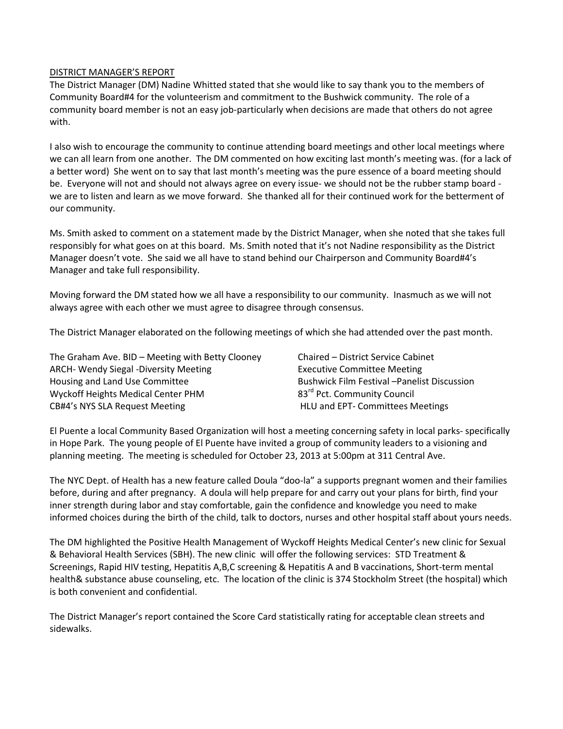#### DISTRICT MANAGER'S REPORT

The District Manager (DM) Nadine Whitted stated that she would like to say thank you to the members of Community Board#4 for the volunteerism and commitment to the Bushwick community. The role of a community board member is not an easy job-particularly when decisions are made that others do not agree with.

I also wish to encourage the community to continue attending board meetings and other local meetings where we can all learn from one another. The DM commented on how exciting last month's meeting was. (for a lack of a better word) She went on to say that last month's meeting was the pure essence of a board meeting should be. Everyone will not and should not always agree on every issue- we should not be the rubber stamp board we are to listen and learn as we move forward. She thanked all for their continued work for the betterment of our community.

Ms. Smith asked to comment on a statement made by the District Manager, when she noted that she takes full responsibly for what goes on at this board. Ms. Smith noted that it's not Nadine responsibility as the District Manager doesn't vote. She said we all have to stand behind our Chairperson and Community Board#4's Manager and take full responsibility.

Moving forward the DM stated how we all have a responsibility to our community. Inasmuch as we will not always agree with each other we must agree to disagree through consensus.

The District Manager elaborated on the following meetings of which she had attended over the past month.

| The Graham Ave. BID - Meeting with Betty Clooney | Chaired - District Service Cabinet                  |
|--------------------------------------------------|-----------------------------------------------------|
| <b>ARCH- Wendy Siegal -Diversity Meeting</b>     | <b>Executive Committee Meeting</b>                  |
| Housing and Land Use Committee                   | <b>Bushwick Film Festival - Panelist Discussion</b> |
| Wyckoff Heights Medical Center PHM               | 83 <sup>rd</sup> Pct. Community Council             |
| CB#4's NYS SLA Request Meeting                   | HLU and EPT- Committees Meetings                    |

El Puente a local Community Based Organization will host a meeting concerning safety in local parks- specifically in Hope Park. The young people of El Puente have invited a group of community leaders to a visioning and planning meeting. The meeting is scheduled for October 23, 2013 at 5:00pm at 311 Central Ave.

The NYC Dept. of Health has a new feature called Doula "doo-la" a supports pregnant women and their families before, during and after pregnancy. A doula will help prepare for and carry out your plans for birth, find your inner strength during labor and stay comfortable, gain the confidence and knowledge you need to make informed choices during the birth of the child, talk to doctors, nurses and other hospital staff about yours needs.

The DM highlighted the Positive Health Management of Wyckoff Heights Medical Center's new clinic for Sexual & Behavioral Health Services (SBH). The new clinic will offer the following services: STD Treatment & Screenings, Rapid HIV testing, Hepatitis A,B,C screening & Hepatitis A and B vaccinations, Short-term mental health& substance abuse counseling, etc. The location of the clinic is 374 Stockholm Street (the hospital) which is both convenient and confidential.

The District Manager's report contained the Score Card statistically rating for acceptable clean streets and sidewalks.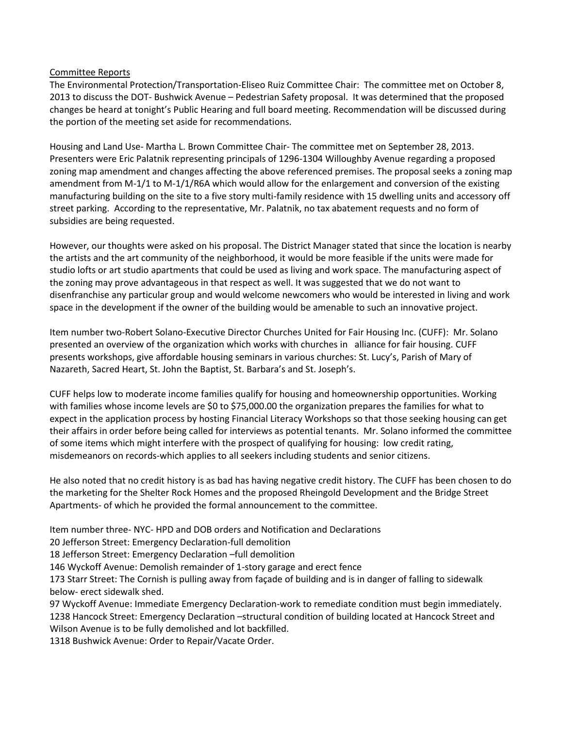### Committee Reports

The Environmental Protection/Transportation-Eliseo Ruiz Committee Chair: The committee met on October 8, 2013 to discuss the DOT- Bushwick Avenue – Pedestrian Safety proposal. It was determined that the proposed changes be heard at tonight's Public Hearing and full board meeting. Recommendation will be discussed during the portion of the meeting set aside for recommendations.

Housing and Land Use- Martha L. Brown Committee Chair- The committee met on September 28, 2013. Presenters were Eric Palatnik representing principals of 1296-1304 Willoughby Avenue regarding a proposed zoning map amendment and changes affecting the above referenced premises. The proposal seeks a zoning map amendment from M-1/1 to M-1/1/R6A which would allow for the enlargement and conversion of the existing manufacturing building on the site to a five story multi-family residence with 15 dwelling units and accessory off street parking. According to the representative, Mr. Palatnik, no tax abatement requests and no form of subsidies are being requested.

However, our thoughts were asked on his proposal. The District Manager stated that since the location is nearby the artists and the art community of the neighborhood, it would be more feasible if the units were made for studio lofts or art studio apartments that could be used as living and work space. The manufacturing aspect of the zoning may prove advantageous in that respect as well. It was suggested that we do not want to disenfranchise any particular group and would welcome newcomers who would be interested in living and work space in the development if the owner of the building would be amenable to such an innovative project.

Item number two-Robert Solano-Executive Director Churches United for Fair Housing Inc. (CUFF): Mr. Solano presented an overview of the organization which works with churches in alliance for fair housing. CUFF presents workshops, give affordable housing seminars in various churches: St. Lucy's, Parish of Mary of Nazareth, Sacred Heart, St. John the Baptist, St. Barbara's and St. Joseph's.

CUFF helps low to moderate income families qualify for housing and homeownership opportunities. Working with families whose income levels are \$0 to \$75,000.00 the organization prepares the families for what to expect in the application process by hosting Financial Literacy Workshops so that those seeking housing can get their affairs in order before being called for interviews as potential tenants. Mr. Solano informed the committee of some items which might interfere with the prospect of qualifying for housing: low credit rating, misdemeanors on records-which applies to all seekers including students and senior citizens.

He also noted that no credit history is as bad has having negative credit history. The CUFF has been chosen to do the marketing for the Shelter Rock Homes and the proposed Rheingold Development and the Bridge Street Apartments- of which he provided the formal announcement to the committee.

Item number three- NYC- HPD and DOB orders and Notification and Declarations

20 Jefferson Street: Emergency Declaration-full demolition

18 Jefferson Street: Emergency Declaration –full demolition

146 Wyckoff Avenue: Demolish remainder of 1-story garage and erect fence

173 Starr Street: The Cornish is pulling away from façade of building and is in danger of falling to sidewalk below- erect sidewalk shed.

97 Wyckoff Avenue: Immediate Emergency Declaration-work to remediate condition must begin immediately. 1238 Hancock Street: Emergency Declaration –structural condition of building located at Hancock Street and Wilson Avenue is to be fully demolished and lot backfilled.

1318 Bushwick Avenue: Order to Repair/Vacate Order.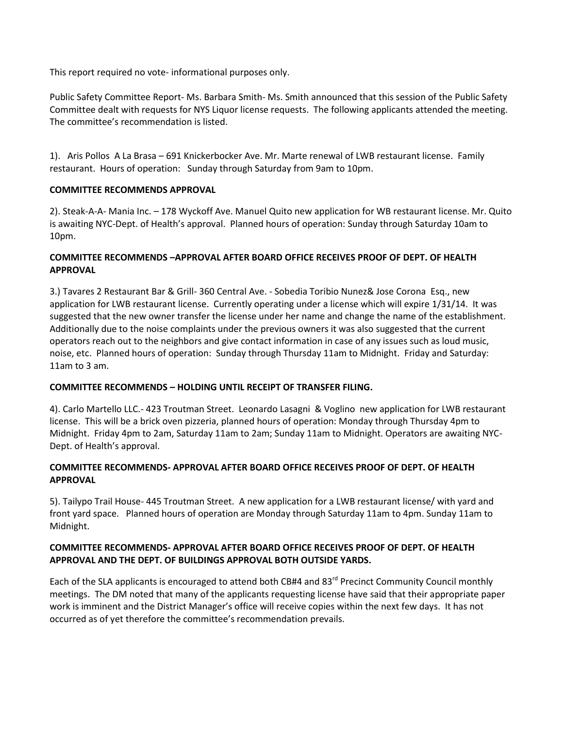This report required no vote- informational purposes only.

Public Safety Committee Report- Ms. Barbara Smith- Ms. Smith announced that this session of the Public Safety Committee dealt with requests for NYS Liquor license requests. The following applicants attended the meeting. The committee's recommendation is listed.

1). Aris Pollos A La Brasa – 691 Knickerbocker Ave. Mr. Marte renewal of LWB restaurant license. Family restaurant. Hours of operation: Sunday through Saturday from 9am to 10pm.

## **COMMITTEE RECOMMENDS APPROVAL**

2). Steak-A-A- Mania Inc. – 178 Wyckoff Ave. Manuel Quito new application for WB restaurant license. Mr. Quito is awaiting NYC-Dept. of Health's approval. Planned hours of operation: Sunday through Saturday 10am to 10pm.

# **COMMITTEE RECOMMENDS –APPROVAL AFTER BOARD OFFICE RECEIVES PROOF OF DEPT. OF HEALTH APPROVAL**

3.) Tavares 2 Restaurant Bar & Grill- 360 Central Ave. - Sobedia Toribio Nunez& Jose Corona Esq., new application for LWB restaurant license. Currently operating under a license which will expire 1/31/14. It was suggested that the new owner transfer the license under her name and change the name of the establishment. Additionally due to the noise complaints under the previous owners it was also suggested that the current operators reach out to the neighbors and give contact information in case of any issues such as loud music, noise, etc. Planned hours of operation: Sunday through Thursday 11am to Midnight. Friday and Saturday: 11am to 3 am.

### **COMMITTEE RECOMMENDS – HOLDING UNTIL RECEIPT OF TRANSFER FILING.**

4). Carlo Martello LLC.- 423 Troutman Street. Leonardo Lasagni & Voglino new application for LWB restaurant license. This will be a brick oven pizzeria, planned hours of operation: Monday through Thursday 4pm to Midnight. Friday 4pm to 2am, Saturday 11am to 2am; Sunday 11am to Midnight. Operators are awaiting NYC-Dept. of Health's approval.

## **COMMITTEE RECOMMENDS- APPROVAL AFTER BOARD OFFICE RECEIVES PROOF OF DEPT. OF HEALTH APPROVAL**

5). Tailypo Trail House- 445 Troutman Street. A new application for a LWB restaurant license/ with yard and front yard space. Planned hours of operation are Monday through Saturday 11am to 4pm. Sunday 11am to Midnight.

## **COMMITTEE RECOMMENDS- APPROVAL AFTER BOARD OFFICE RECEIVES PROOF OF DEPT. OF HEALTH APPROVAL AND THE DEPT. OF BUILDINGS APPROVAL BOTH OUTSIDE YARDS.**

Each of the SLA applicants is encouraged to attend both CB#4 and 83<sup>rd</sup> Precinct Community Council monthly meetings. The DM noted that many of the applicants requesting license have said that their appropriate paper work is imminent and the District Manager's office will receive copies within the next few days. It has not occurred as of yet therefore the committee's recommendation prevails.